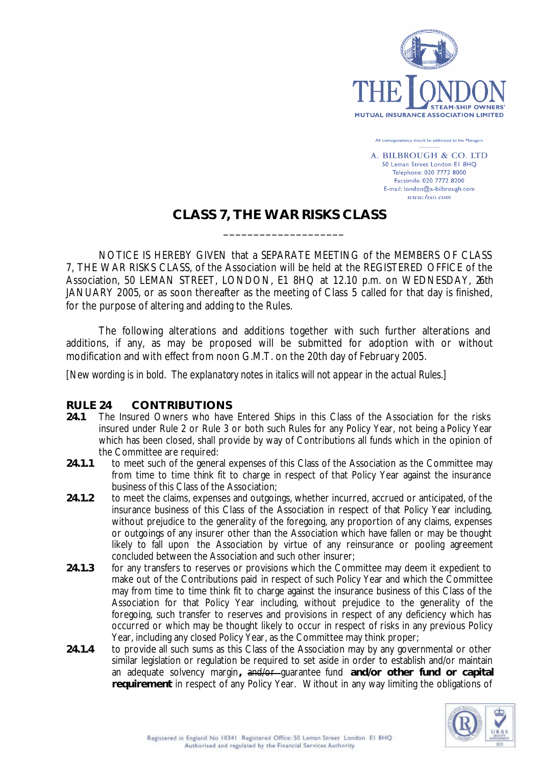

All correspondence should be addressed to the Managers

A. BILBROUGH & CO. LTD 50 Leman Street London El 8HO Telephone: 020 7772 8000 Facsimile: 020 7772 8200 E-mail: london@a-bilbrough.com  $www. Isso.com$ 

## **CLASS 7, THE WAR RISKS CLASS**

\_\_\_\_\_\_\_\_\_\_\_\_\_\_\_\_\_\_\_\_

NOTICE IS HEREBY GIVEN that a SEPARATE MEETING of the MEMBERS OF CLASS 7, THE WAR RISKS CLASS, of the Association will be held at the REGISTERED OFFICE of the Association, 50 LEMAN STREET, LONDON, E1 8HQ at 12.10 p.m. on WEDNESDAY, 26th JANUARY 2005, or as soon thereafter as the meeting of Class 5 called for that day is finished, for the purpose of altering and adding to the Rules.

The following alterations and additions together with such further alterations and additions, if any, as may be proposed will be submitted for adoption with or without modification and with effect from noon G.M.T. on the 20th day of February 2005.

*[New wording is in bold. The explanatory notes in italics will not appear in the actual Rules.]*

## **RULE 24 CONTRIBUTIONS**

- 24.1 The Insured Owners who have Entered Ships in this Class of the Association for the risks insured under Rule 2 or Rule 3 or both such Rules for any Policy Year, not being a Policy Year which has been closed, shall provide by way of Contributions all funds which in the opinion of the Committee are required:
- 24.1.1 to meet such of the general expenses of this Class of the Association as the Committee may from time to time think fit to charge in respect of that Policy Year against the insurance business of this Class of the Association;
- **24.1.2** to meet the claims, expenses and outgoings, whether incurred, accrued or anticipated, of the insurance business of this Class of the Association in respect of that Policy Year including, without prejudice to the generality of the foregoing, any proportion of any claims, expenses or outgoings of any insurer other than the Association which have fallen or may be thought likely to fall upon the Association by virtue of any reinsurance or pooling agreement concluded between the Association and such other insurer;
- **24.1.3** for any transfers to reserves or provisions which the Committee may deem it expedient to make out of the Contributions paid in respect of such Policy Year and which the Committee may from time to time think fit to charge against the insurance business of this Class of the Association for that Policy Year including, without prejudice to the generality of the foregoing, such transfer to reserves and provisions in respect of any deficiency which has occurred or which may be thought likely to occur in respect of risks in any previous Policy Year, including any closed Policy Year, as the Committee may think proper;
- 24.1.4 to provide all such sums as this Class of the Association may by any governmental or other similar legislation or regulation be required to set aside in order to establish and/or maintain an adequate solvency margin**,** and/or guarantee fund **and/or other fund or capital requirement** in respect of any Policy Year. Without in any way limiting the obligations of